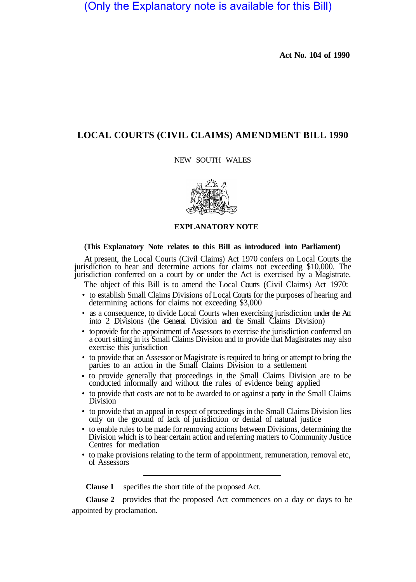(Only the Explanatory note is available for this Bill)

**Act No. 104 of 1990**

## **LOCAL COURTS (CIVIL CLAIMS) AMENDMENT BILL 1990**

## NEW SOUTH WALES



## **EXPLANATORY NOTE**

## **(This Explanatory Note relates to this Bill as introduced into Parliament)**

At present, the Local Courts (Civil Claims) Act 1970 confers on Local Courts the jurisdiction to hear and determine actions for claims not exceeding \$10,000. The jurisdiction conferred on a court by or under the Act is exercised by a Magistrate.

The object of this Bill is to amend the Local Courts (Civil Claims) Act 1970:

- to establish Small Claims Divisions of Local Courts for the purposes of hearing and determining actions for claims not exceeding \$3,000
- as a consequence, to divide Local Courts when exercising jurisdiction under the Act into 2 Divisions (the General Division and the Small Claims Division)
- to provide for the appointment of Assessors to exercise the jurisdiction conferred on a court sitting in its Small Claims Division and to provide that Magistrates may also exercise this jurisdiction
- to provide that an Assessor or Magistrate is required to bring or attempt to bring the parties to an action in the Small Claims Division to a settlement
- to provide generally that proceedings in the Small Claims Division are to be conducted informally and without the rules of evidence being applied
- to provide that costs are not to be awarded to or against a party in the Small Claims Division
- to provide that an appeal in respect of proceedings in the Small Claims Division lies only on the ground of lack of jurisdiction or denial of natural justice
- to enable rules to be made for removing actions between Divisions, determining the Division which is to hear certain action and referring matters to Community Justice Centres for mediation
- to make provisions relating to the term of appointment, remuneration, removal etc, of Assessors

**Clause 1** specifies the short title of the proposed Act.

appointed by proclamation. **Clause 2** provides that the proposed Act commences on a day or days to be